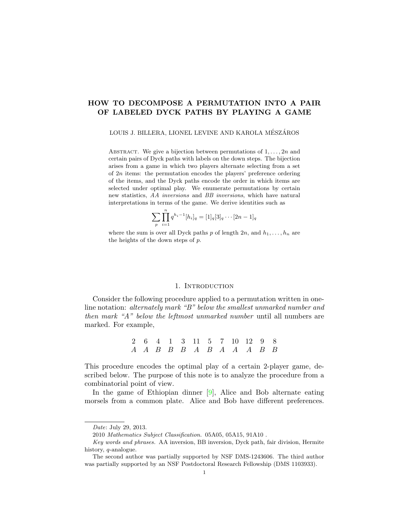# HOW TO DECOMPOSE A PERMUTATION INTO A PAIR OF LABELED DYCK PATHS BY PLAYING A GAME

#### LOUIS J. BILLERA, LIONEL LEVINE AND KAROLA MÉSZÁROS

ABSTRACT. We give a bijection between permutations of  $1, \ldots, 2n$  and certain pairs of Dyck paths with labels on the down steps. The bijection arises from a game in which two players alternate selecting from a set of 2n items: the permutation encodes the players' preference ordering of the items, and the Dyck paths encode the order in which items are selected under optimal play. We enumerate permutations by certain new statistics, AA inversions and BB inversions, which have natural interpretations in terms of the game. We derive identities such as

$$
\sum_{p} \prod_{i=1}^{n} q^{h_i - 1} [h_i]_q = [1]_q [3]_q \cdots [2n - 1]_q
$$

where the sum is over all Dyck paths p of length  $2n$ , and  $h_1, \ldots, h_n$  are the heights of the down steps of p.

## 1. INTRODUCTION

Consider the following procedure applied to a permutation written in oneline notation: alternately mark "B" below the smallest unmarked number and then mark "A" below the leftmost unmarked number until all numbers are marked. For example,

> 2 6 4 1 3 11 5 7 10 12 9 8  $A$   $A$   $B$   $B$   $B$   $A$   $B$   $A$   $A$   $A$   $B$   $B$

This procedure encodes the optimal play of a certain 2-player game, described below. The purpose of this note is to analyze the procedure from a combinatorial point of view.

In the game of Ethiopian dinner [\[9\]](#page-9-0), Alice and Bob alternate eating morsels from a common plate. Alice and Bob have different preferences.

Date: July 29, 2013.

<sup>2010</sup> Mathematics Subject Classification. 05A05, 05A15, 91A10 .

Key words and phrases. AA inversion, BB inversion, Dyck path, fair division, Hermite history, q-analogue.

The second author was partially supported by NSF DMS-1243606. The third author was partially supported by an NSF Postdoctoral Research Fellowship (DMS 1103933).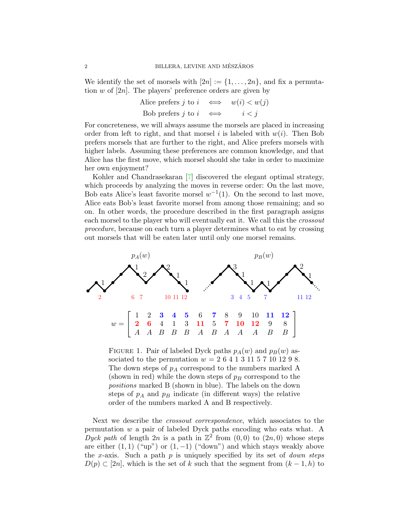We identify the set of morsels with  $[2n] := \{1, \ldots, 2n\}$ , and fix a permutation  $w$  of [2n]. The players' preference orders are given by

Alice prefers 
$$
j
$$
 to  $i \iff w(i) < w(j)$   
Bob prefers  $j$  to  $i \iff i < j$ 

For concreteness, we will always assume the morsels are placed in increasing order from left to right, and that morsel i is labeled with  $w(i)$ . Then Bob prefers morsels that are further to the right, and Alice prefers morsels with higher labels. Assuming these preferences are common knowledge, and that Alice has the first move, which morsel should she take in order to maximize her own enjoyment?

Kohler and Chandrasekaran [\[7\]](#page-9-1) discovered the elegant optimal strategy, which proceeds by analyzing the moves in reverse order: On the last move, Bob eats Alice's least favorite morsel  $w^{-1}(1)$ . On the second to last move, Alice eats Bob's least favorite morsel from among those remaining; and so on. In other words, the procedure described in the first paragraph assigns each morsel to the player who will eventually eat it. We call this the *crossout* procedure, because on each turn a player determines what to eat by crossing out morsels that will be eaten later until only one morsel remains.



<span id="page-1-0"></span>FIGURE 1. Pair of labeled Dyck paths  $p_A(w)$  and  $p_B(w)$  associated to the permutation  $w = 264131157101298$ . The down steps of  $p_A$  correspond to the numbers marked A (shown in red) while the down steps of  $p_B$  correspond to the positions marked B (shown in blue). The labels on the down steps of  $p_A$  and  $p_B$  indicate (in different ways) the relative order of the numbers marked A and B respectively.

Next we describe the crossout correspondence, which associates to the permutation w a pair of labeled Dyck paths encoding who eats what. A Dyck path of length  $2n$  is a path in  $\mathbb{Z}^2$  from  $(0,0)$  to  $(2n,0)$  whose steps are either  $(1, 1)$  ("up") or  $(1, -1)$  ("down") and which stays weakly above the x-axis. Such a path  $p$  is uniquely specified by its set of *down steps*  $D(p) \subset [2n]$ , which is the set of k such that the segment from  $(k-1,h)$  to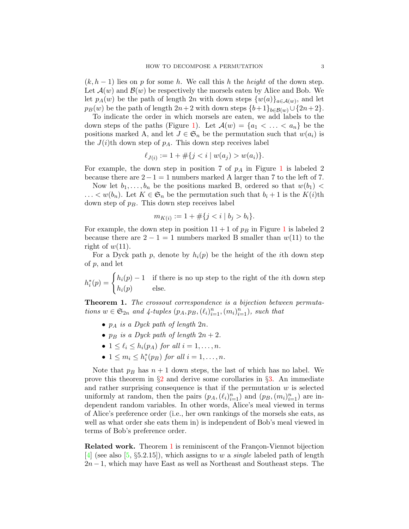$(k, h - 1)$  lies on p for some h. We call this h the height of the down step. Let  $\mathcal{A}(w)$  and  $\mathcal{B}(w)$  be respectively the morsels eaten by Alice and Bob. We let  $p_A(w)$  be the path of length 2n with down steps  $\{w(a)\}_{a \in \mathcal{A}(w)}$ , and let  $p_B(w)$  be the path of length  $2n+2$  with down steps  ${b+1}_{b\in B(w)} \cup {2n+2}$ .

To indicate the order in which morsels are eaten, we add labels to the down steps of the paths (Figure [1\)](#page-1-0). Let  $\mathcal{A}(w) = \{a_1 < \ldots < a_n\}$  be the positions marked A, and let  $J \in \mathfrak{S}_n$  be the permutation such that  $w(a_i)$  is the  $J(i)$ th down step of  $p_A$ . This down step receives label

$$
\ell_{J(i)} := 1 + \#\{j < i \mid w(a_j) > w(a_i)\}.
$$

For example, the down step in position 7 of  $p_A$  in Figure [1](#page-1-0) is labeled 2 because there are  $2-1=1$  numbers marked A larger than 7 to the left of 7.

Now let  $b_1, \ldots, b_n$  be the positions marked B, ordered so that  $w(b_1)$  <  $\ldots < w(b_n)$ . Let  $K \in \mathfrak{S}_n$  be the permutation such that  $b_i + 1$  is the  $K(i)$ th down step of  $p_B$ . This down step receives label

$$
m_{K(i)} := 1 + \#\{j < i \mid b_j > b_i\}.
$$

For example, the down step in position  $11 + 1$  $11 + 1$  of  $p_B$  in Figure 1 is labeled 2 because there are  $2 - 1 = 1$  numbers marked B smaller than  $w(11)$  to the right of  $w(11)$ .

For a Dyck path p, denote by  $h_i(p)$  be the height of the *i*th down step of p, and let

 $h_i^*(p) = \begin{cases} h_i(p) - 1 & \text{if there is no up step to the right of the *i*th down step} \\ h_i(p) & \text{else.} \end{cases}$  $h_i(p)$  else.

<span id="page-2-0"></span>Theorem 1. The crossout correspondence is a bijection between permutations  $w \in \mathfrak{S}_{2n}$  and  $\lambda$ -tuples  $(p_A, p_B, (\ell_i)_{i=1}^n, (m_i)_{i=1}^n)$ , such that

- $p_A$  is a Dyck path of length  $2n$ .
- $p_B$  is a Dyck path of length  $2n + 2$ .
- $1 \leq \ell_i \leq h_i(p_A)$  for all  $i = 1, \ldots, n$ .
- $1 \leq m_i \leq h_i^*(p_B)$  for all  $i = 1, \ldots, n$ .

Note that  $p_B$  has  $n + 1$  down steps, the last of which has no label. We prove this theorem in  $\S2$  $\S2$  and derive some corollaries in  $\S3$ . An immediate and rather surprising consequence is that if the permutation  $w$  is selected uniformly at random, then the pairs  $(p_A, (\ell_i)_{i=1}^n)$  and  $(p_B, (m_i)_{i=1}^n)$  are independent random variables. In other words, Alice's meal viewed in terms of Alice's preference order (i.e., her own rankings of the morsels she eats, as well as what order she eats them in) is independent of Bob's meal viewed in terms of Bob's preference order.

**Related work.** Theorem [1](#page-2-0) is reminiscent of the Françon-Viennot bijection [\[4\]](#page-8-0) (see also [\[5,](#page-8-1)  $\S 5.2.15$ ]), which assigns to w a *single* labeled path of length  $2n-1$ , which may have East as well as Northeast and Southeast steps. The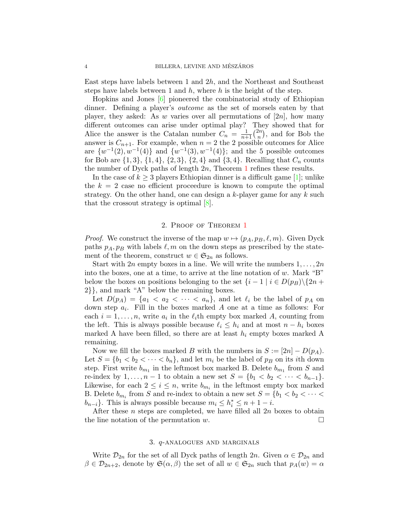East steps have labels between 1 and  $2h$ , and the Northeast and Southeast steps have labels between 1 and  $h$ , where  $h$  is the height of the step.

Hopkins and Jones [\[6\]](#page-9-2) pioneered the combinatorial study of Ethiopian dinner. Defining a player's outcome as the set of morsels eaten by that player, they asked: As w varies over all permutations of  $[2n]$ , how many different outcomes can arise under optimal play? They showed that for Alice the answer is the Catalan number  $C_n = \frac{1}{n+1} {2n \choose n}$  $\binom{2n}{n}$ , and for Bob the answer is  $C_{n+1}$ . For example, when  $n = 2$  the 2 possible outcomes for Alice are  $\{w^{-1}(2), w^{-1}(4)\}\$  and  $\{w^{-1}(3), w^{-1}(4)\}\$ ; and the 5 possible outcomes for Bob are  $\{1,3\}, \{1,4\}, \{2,3\}, \{2,4\}$  and  $\{3,4\}.$  Recalling that  $C_n$  counts the number of Dyck paths of length  $2n$ , Theorem [1](#page-2-0) refines these results.

In the case of  $k \geq 3$  players Ethiopian dinner is a difficult game [\[1\]](#page-8-2); unlike the  $k = 2$  case no efficient proceedure is known to compute the optimal strategy. On the other hand, one can design a  $k$ -player game for any  $k$  such that the crossout strategy is optimal [\[8\]](#page-9-3).

### 2. Proof of Theorem [1](#page-2-0)

<span id="page-3-0"></span>*Proof.* We construct the inverse of the map  $w \mapsto (p_A, p_B, \ell, m)$ . Given Dyck paths  $p_A, p_B$  with labels  $\ell, m$  on the down steps as prescribed by the statement of the theorem, construct  $w \in \mathfrak{S}_{2n}$  as follows.

Start with 2n empty boxes in a line. We will write the numbers  $1, \ldots, 2n$ into the boxes, one at a time, to arrive at the line notation of  $w$ . Mark "B" below the boxes on positions belonging to the set  ${i-1}$   $i \in D(p_B)\backslash\{2n +$ 2}}, and mark "A" below the remaining boxes.

Let  $D(p_A) = \{a_1 < a_2 < \cdots < a_n\}$ , and let  $\ell_i$  be the label of  $p_A$  on down step  $a_i$ . Fill in the boxes marked A one at a time as follows: For each  $i = 1, \ldots, n$ , write  $a_i$  in the  $\ell_i$ th empty box marked A, counting from the left. This is always possible because  $\ell_i \leq h_i$  and at most  $n - h_i$  boxes marked A have been filled, so there are at least  $h_i$  empty boxes marked A remaining.

Now we fill the boxes marked B with the numbers in  $S := [2n] - D(p_A)$ . Let  $S = \{b_1 < b_2 < \cdots < b_n\}$ , and let  $m_i$  be the label of  $p_B$  on its *i*th down step. First write  $b_{m_1}$  in the leftmost box marked B. Delete  $b_{m_1}$  from S and re-index by  $1, \ldots, n-1$  to obtain a new set  $S = \{b_1 < b_2 < \cdots < b_{n-1}\}.$ Likewise, for each  $2 \leq i \leq n$ , write  $b_{m_i}$  in the leftmost empty box marked B. Delete  $b_{m_i}$  from S and re-index to obtain a new set  $S = \{b_1 < b_2 < \cdots <$  $b_{n-i}$ . This is always possible because  $m_i \leq h_i^* \leq n+1-i$ .

After these  $n$  steps are completed, we have filled all  $2n$  boxes to obtain the line notation of the permutation  $w$ .

### 3. q-analogues and marginals

<span id="page-3-1"></span>Write  $\mathcal{D}_{2n}$  for the set of all Dyck paths of length 2n. Given  $\alpha \in \mathcal{D}_{2n}$  and  $\beta \in \mathcal{D}_{2n+2}$ , denote by  $\mathfrak{S}(\alpha,\beta)$  the set of all  $w \in \mathfrak{S}_{2n}$  such that  $p_A(w) = \alpha$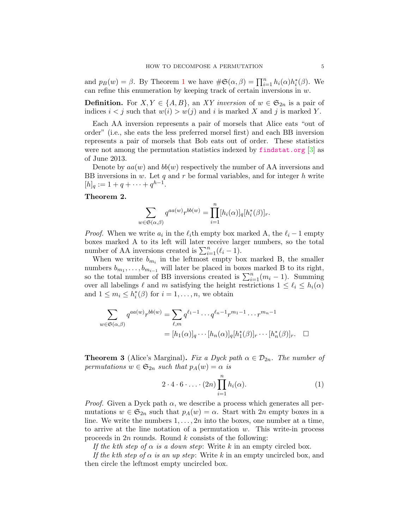and  $p_B(w) = \beta$ . By Theorem [1](#page-2-0) we have  $\#\mathfrak{S}(\alpha, \beta) = \prod_{i=1}^n h_i(\alpha) h_i^*(\beta)$ . We can refine this enumeration by keeping track of certain inversions in  $w$ .

**Definition.** For  $X, Y \in \{A, B\}$ , an XY inversion of  $w \in \mathfrak{S}_{2n}$  is a pair of indices  $i < j$  such that  $w(i) > w(j)$  and i is marked X and j is marked Y.

Each AA inversion represents a pair of morsels that Alice eats "out of order" (i.e., she eats the less preferred morsel first) and each BB inversion represents a pair of morsels that Bob eats out of order. These statistics were not among the permutation statistics indexed by [findstat.org](http://www.findstat.org) [\[3\]](#page-8-3) as of June 2013.

Denote by  $aa(w)$  and  $bb(w)$  respectively the number of AA inversions and BB inversions in  $w$ . Let  $q$  and  $r$  be formal variables, and for integer  $h$  write  $[h]_q := 1 + q + \cdots + q^{h-1}.$ 

# Theorem 2.

$$
\sum_{w \in \mathfrak{S}(\alpha,\beta)} q^{aa(w)} r^{bb(w)} = \prod_{i=1}^n [h_i(\alpha)]_q [h_i^*(\beta)]_r.
$$

*Proof.* When we write  $a_i$  in the  $\ell_i$ th empty box marked A, the  $\ell_i - 1$  empty boxes marked A to its left will later receive larger numbers, so the total number of AA inversions created is  $\sum_{i=1}^{n} (\ell_i - 1)$ .

When we write  $b_{m_i}$  in the leftmost empty box marked B, the smaller numbers  $b_{m_1}, \ldots, b_{m_{i-1}}$  will later be placed in boxes marked B to its right, so the total number of BB inversions created is  $\sum_{i=1}^{n}(m_i-1)$ . Summing over all labelings  $\ell$  and m satisfying the height restrictions  $1 \leq \ell_i \leq h_i(\alpha)$ and  $1 \leq m_i \leq h_i^*(\beta)$  for  $i = 1, ..., n$ , we obtain

$$
\sum_{w \in \mathfrak{S}(\alpha,\beta)} q^{aa(w)} r^{bb(w)} = \sum_{\ell,m} q^{\ell_1 - 1} \cdots q^{\ell_n - 1} r^{m_1 - 1} \cdots r^{m_n - 1}
$$

$$
= [h_1(\alpha)]_q \cdots [h_n(\alpha)]_q [h_1^*(\beta)]_r \cdots [h_n^*(\beta)]_r.
$$

<span id="page-4-1"></span>**Theorem 3** (Alice's Marginal). Fix a Dyck path  $\alpha \in \mathcal{D}_{2n}$ . The number of permutations  $w \in \mathfrak{S}_{2n}$  such that  $p_A(w) = \alpha$  is

<span id="page-4-0"></span>
$$
2 \cdot 4 \cdot 6 \cdot \ldots \cdot (2n) \prod_{i=1}^{n} h_i(\alpha).
$$
 (1)

*Proof.* Given a Dyck path  $\alpha$ , we describe a process which generates all permutations  $w \in \mathfrak{S}_{2n}$  such that  $p_A(w) = \alpha$ . Start with 2n empty boxes in a line. We write the numbers  $1, \ldots, 2n$  into the boxes, one number at a time, to arrive at the line notation of a permutation  $w$ . This write-in process proceeds in 2n rounds. Round k consists of the following:

If the kth step of  $\alpha$  is a down step: Write k in an empty circled box.

If the kth step of  $\alpha$  is an up step: Write k in an empty uncircled box, and then circle the leftmost empty uncircled box.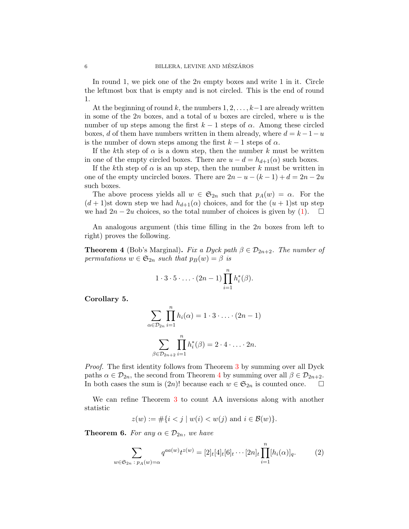In round 1, we pick one of the  $2n$  empty boxes and write 1 in it. Circle the leftmost box that is empty and is not circled. This is the end of round 1.

At the beginning of round k, the numbers  $1, 2, \ldots, k-1$  are already written in some of the 2n boxes, and a total of u boxes are circled, where u is the number of up steps among the first  $k - 1$  steps of  $\alpha$ . Among these circled boxes, d of them have numbers written in them already, where  $d = k - 1 - u$ is the number of down steps among the first  $k-1$  steps of  $\alpha$ .

If the kth step of  $\alpha$  is a down step, then the number k must be written in one of the empty circled boxes. There are  $u - d = h_{d+1}(\alpha)$  such boxes.

If the kth step of  $\alpha$  is an up step, then the number k must be written in one of the empty uncircled boxes. There are  $2n - u - (k - 1) + d = 2n - 2u$ such boxes.

The above process yields all  $w \in \mathfrak{S}_{2n}$  such that  $p_A(w) = \alpha$ . For the  $(d+1)$ st down step we had  $h_{d+1}(\alpha)$  choices, and for the  $(u+1)$ st up step we had  $2n - 2u$  choices, so the total number of choices is given by [\(1\)](#page-4-0).  $\Box$ 

An analogous argument (this time filling in the  $2n$  boxes from left to right) proves the following.

<span id="page-5-0"></span>**Theorem 4** (Bob's Marginal). Fix a Dyck path  $\beta \in \mathcal{D}_{2n+2}$ . The number of permutations  $w \in \mathfrak{S}_{2n}$  such that  $p_B(w) = \beta$  is

$$
1 \cdot 3 \cdot 5 \cdot \ldots \cdot (2n-1) \prod_{i=1}^{n} h_i^*(\beta).
$$

Corollary 5.

$$
\sum_{\alpha \in \mathcal{D}_{2n}} \prod_{i=1}^{n} h_i(\alpha) = 1 \cdot 3 \cdot \ldots \cdot (2n - 1)
$$

$$
\sum_{\beta \in \mathcal{D}_{2n+2}} \prod_{i=1}^{n} h_i^*(\beta) = 2 \cdot 4 \cdot \ldots \cdot 2n.
$$

Proof. The first identity follows from Theorem [3](#page-4-1) by summing over all Dyck paths  $\alpha \in \mathcal{D}_{2n}$ , the second from Theorem [4](#page-5-0) by summing over all  $\beta \in \mathcal{D}_{2n+2}$ . In both cases the sum is  $(2n)!$  because each  $w \in \mathfrak{S}_{2n}$  is counted once.  $\square$ 

We can refine Theorem [3](#page-4-1) to count AA inversions along with another statistic

$$
z(w) := #\{i < j \mid w(i) < w(j) \text{ and } i \in \mathcal{B}(w)\}.
$$

<span id="page-5-1"></span>**Theorem 6.** For any  $\alpha \in \mathcal{D}_{2n}$ , we have

<span id="page-5-2"></span>
$$
\sum_{w \in \mathfrak{S}_{2n} \;:\; p_A(w) = \alpha} q^{aa(w)} t^{z(w)} = [2]_t [4]_t [6]_t \cdots [2n]_t \prod_{i=1}^n [h_i(\alpha)]_q.
$$
 (2)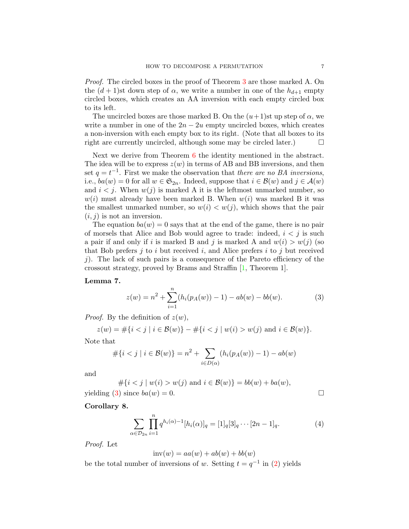Proof. The circled boxes in the proof of Theorem [3](#page-4-1) are those marked A. On the  $(d+1)$ st down step of  $\alpha$ , we write a number in one of the  $h_{d+1}$  empty circled boxes, which creates an AA inversion with each empty circled box to its left.

The uncircled boxes are those marked B. On the  $(u+1)$ st up step of  $\alpha$ , we write a number in one of the  $2n - 2u$  empty uncircled boxes, which creates a non-inversion with each empty box to its right. (Note that all boxes to its right are currently uncircled, although some may be circled later.)  $\Box$ 

Next we derive from Theorem [6](#page-5-1) the identity mentioned in the abstract. The idea will be to express  $z(w)$  in terms of AB and BB inversions, and then set  $q = t^{-1}$ . First we make the observation that there are no BA inversions, i.e.,  $ba(w) = 0$  for all  $w \in \mathfrak{S}_{2n}$ . Indeed, suppose that  $i \in \mathcal{B}(w)$  and  $j \in \mathcal{A}(w)$ and  $i < j$ . When  $w(j)$  is marked A it is the leftmost unmarked number, so  $w(i)$  must already have been marked B. When  $w(i)$  was marked B it was the smallest unmarked number, so  $w(i) < w(j)$ , which shows that the pair  $(i, j)$  is not an inversion.

The equation  $ba(w) = 0$  says that at the end of the game, there is no pair of morsels that Alice and Bob would agree to trade: indeed,  $i < j$  is such a pair if and only if i is marked B and j is marked A and  $w(i) > w(j)$  (so that Bob prefers  $i$  to i but received i, and Alice prefers i to j but received j). The lack of such pairs is a consequence of the Pareto efficiency of the crossout strategy, proved by Brams and Straffin [\[1,](#page-8-2) Theorem 1].

### Lemma 7.

<span id="page-6-0"></span>
$$
z(w) = n^{2} + \sum_{i=1}^{n} (h_{i}(p_{A}(w)) - 1) - ab(w) - bb(w).
$$
 (3)

*Proof.* By the definition of  $z(w)$ ,

$$
z(w) = #\{i < j \mid i \in \mathcal{B}(w)\} - #\{i < j \mid w(i) > w(j) \text{ and } i \in \mathcal{B}(w)\}.
$$

Note that

$$
\#\{i < j \mid i \in \mathcal{B}(w)\} = n^2 + \sum_{i \in D(\alpha)} (h_i(p_A(w)) - 1) - ab(w)
$$

and

 $\#\{i \leq j \mid w(i) > w(j) \text{ and } i \in \mathcal{B}(w)\} = bb(w) + ba(w),$ yielding [\(3\)](#page-6-0) since  $ba(w) = 0$ .

Corollary 8.

<span id="page-6-1"></span>
$$
\sum_{\alpha \in \mathcal{D}_{2n}} \prod_{i=1}^{n} q^{h_i(\alpha) - 1} [h_i(\alpha)]_q = [1]_q [3]_q \cdots [2n - 1]_q.
$$
 (4)

Proof. Let

$$
inv(w) = aa(w) + ab(w) + bb(w)
$$

be the total number of inversions of w. Setting  $t = q^{-1}$  in [\(2\)](#page-5-2) yields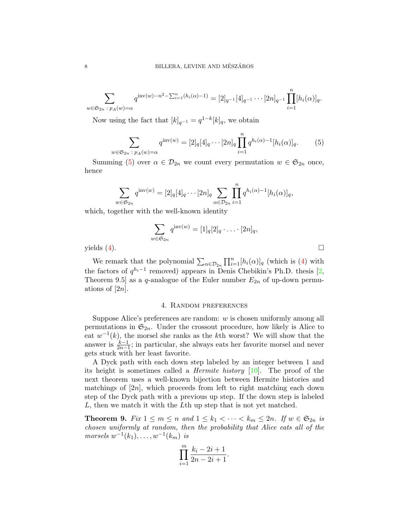$$
\sum_{w \in \mathfrak{S}_{2n} \;:\; p_A(w) = \alpha} q^{\text{inv}(w) - n^2 - \sum_{i=1}^n (h_i(\alpha) - 1)} = [2]_{q^{-1}} [4]_{q^{-1}} \cdots [2n]_{q^{-1}} \prod_{i=1}^n [h_i(\alpha)]_q.
$$

Now using the fact that  $[k]_{q^{-1}} = q^{1-k}[k]_q$ , we obtain

<span id="page-7-0"></span>
$$
\sum_{w \in \mathfrak{S}_{2n} \;:\; p_A(w) = \alpha} q^{\text{inv}(w)} = [2]_q [4]_q \cdots [2n]_q \prod_{i=1}^n q^{h_i(\alpha) - 1} [h_i(\alpha)]_q. \tag{5}
$$

Summing [\(5\)](#page-7-0) over  $\alpha \in \mathcal{D}_{2n}$  we count every permutation  $w \in \mathfrak{S}_{2n}$  once, hence

$$
\sum_{\alpha \in \mathfrak{S}_{2n}} q^{\text{inv}(w)} = [2]_q[4]_q \cdots [2n]_q \sum_{\alpha \in \mathcal{D}_{2n}} \prod_{i=1}^n q^{h_i(\alpha)-1} [h_i(\alpha)]_q,
$$

which, together with the well-known identity

$$
\sum_{w \in \mathfrak{S}_{2n}} q^{\text{inv}(w)} = [1]_q [2]_q \cdot \ldots \cdot [2n]_q,
$$
  
yields (4).

 $\overline{u}$ 

We remark that the polynomial  $\sum_{\alpha \in \mathcal{D}_{2n}} \prod_{i=1}^n [h_i(\alpha)]_q$  (which is [\(4\)](#page-6-1) with the factors of  $q^{h_i-1}$  removed) appears in Denis Chebikin's Ph.D. thesis [\[2,](#page-8-4) Theorem 9.5] as a q-analogue of the Euler number  $E_{2n}$  of up-down permuations of  $|2n|$ .

# 4. Random preferences

Suppose Alice's preferences are random: w is chosen uniformly among all permutations in  $\mathfrak{S}_{2n}$ . Under the crossout procedure, how likely is Alice to eat  $w^{-1}(k)$ , the morsel she ranks as the kth worst? We will show that the answer is  $\frac{k-1}{2n-1}$ ; in particular, she always eats her favorite morsel and never gets stuck with her least favorite.

A Dyck path with each down step labeled by an integer between 1 and its height is sometimes called a Hermite history [\[10\]](#page-9-4). The proof of the next theorem uses a well-known bijection between Hermite histories and matchings of  $[2n]$ , which proceeds from left to right matching each down step of the Dyck path with a previous up step. If the down step is labeled L, then we match it with the Lth up step that is not yet matched.

**Theorem 9.** Fix  $1 \leq m \leq n$  and  $1 \leq k_1 < \cdots < k_m \leq 2n$ . If  $w \in \mathfrak{S}_{2n}$  is chosen uniformly at random, then the probability that Alice eats all of the  $morsels w^{-1}(k_1), \ldots, w^{-1}(k_m)$  is

$$
\prod_{i=1}^{m} \frac{k_i - 2i + 1}{2n - 2i + 1}.
$$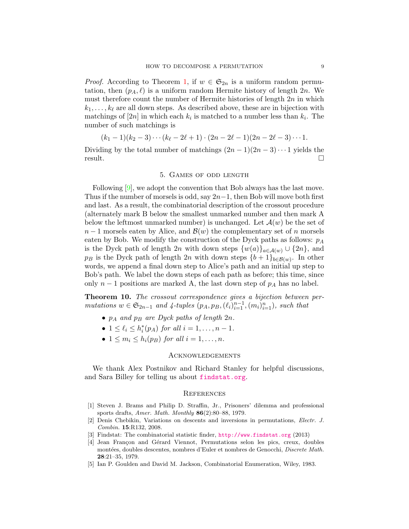*Proof.* According to Theorem [1,](#page-2-0) if  $w \in \mathfrak{S}_{2n}$  is a uniform random permutation, then  $(p_A, \ell)$  is a uniform random Hermite history of length 2n. We must therefore count the number of Hermite histories of length  $2n$  in which  $k_1, \ldots, k_\ell$  are all down steps. As described above, these are in bijection with matchings of  $[2n]$  in which each  $k_i$  is matched to a number less than  $k_i$ . The number of such matchings is

$$
(k_1-1)(k_2-3)\cdots (k_{\ell}-2\ell+1)\cdot (2n-2\ell-1)(2n-2\ell-3)\cdots 1.
$$

Dividing by the total number of matchings  $(2n-1)(2n-3)\cdots 1$  yields the result.

# 5. Games of odd length

Following [\[9\]](#page-9-0), we adopt the convention that Bob always has the last move. Thus if the number of morsels is odd, say  $2n-1$ , then Bob will move both first and last. As a result, the combinatorial description of the crossout procedure (alternately mark B below the smallest unmarked number and then mark A below the leftmost unmarked number) is unchanged. Let  $\mathcal{A}(w)$  be the set of  $n-1$  morsels eaten by Alice, and  $\mathcal{B}(w)$  the complementary set of n morsels eaten by Bob. We modify the construction of the Dyck paths as follows:  $p_A$ is the Dyck path of length 2n with down steps  $\{w(a)\}_{a\in\mathcal{A}(w)}\cup\{2n\}$ , and  $p_B$  is the Dyck path of length 2n with down steps  ${b+1}_{b\in\mathcal{B}(w)}$ . In other words, we append a final down step to Alice's path and an initial up step to Bob's path. We label the down steps of each path as before; this time, since only  $n-1$  positions are marked A, the last down step of  $p<sub>A</sub>$  has no label.

Theorem 10. The crossout correspondence gives a bijection between permutations  $w \in \mathfrak{S}_{2n-1}$  and  $\lambda$ -tuples  $(p_A, p_B, (\ell_i)_{i=1}^{n-1}, (m_i)_{i=1}^n)$ , such that

- $p_A$  and  $p_B$  are Dyck paths of length  $2n$ .
- $1 \leq \ell_i \leq h_i^*(p_A)$  for all  $i = 1, \ldots, n 1$ .
- $1 \leq m_i \leq h_i(p_B)$  for all  $i = 1, \ldots, n$ .

#### **ACKNOWLEDGEMENTS**

We thank Alex Postnikov and Richard Stanley for helpful discussions, and Sara Billey for telling us about [findstat.org](http://www.findstat.org).

#### **REFERENCES**

- <span id="page-8-2"></span>[1] Steven J. Brams and Philip D. Straffin, Jr., Prisoners' dilemma and professional sports drafts, Amer. Math. Monthly 86(2):80–88, 1979.
- <span id="page-8-4"></span>[2] Denis Chebikin, Variations on descents and inversions in permutations, Electr. J. Combin. 15:R132, 2008.
- <span id="page-8-3"></span>[3] Findstat: The combinatorial statistic finder, <http://www.findstat.org> (2013)
- <span id="page-8-0"></span>[4] Jean Françon and Gérard Viennot, Permutations selon les pics, creux, doubles montées, doubles descentes, nombres d'Euler et nombres de Genocchi, Discrete Math. 28:21–35, 1979.
- <span id="page-8-1"></span>[5] Ian P. Goulden and David M. Jackson, Combinatorial Enumeration, Wiley, 1983.